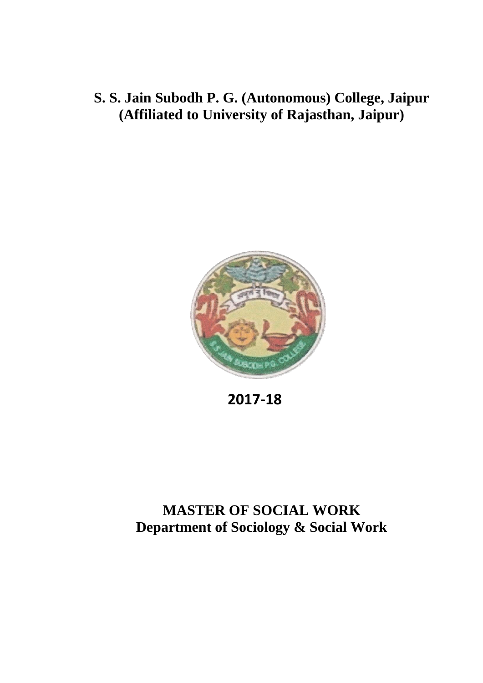# **S. S. Jain Subodh P. G. (Autonomous) College, Jaipur (Affiliated to University of Rajasthan, Jaipur)**



**2017-18**

# **MASTER OF SOCIAL WORK Department of Sociology & Social Work**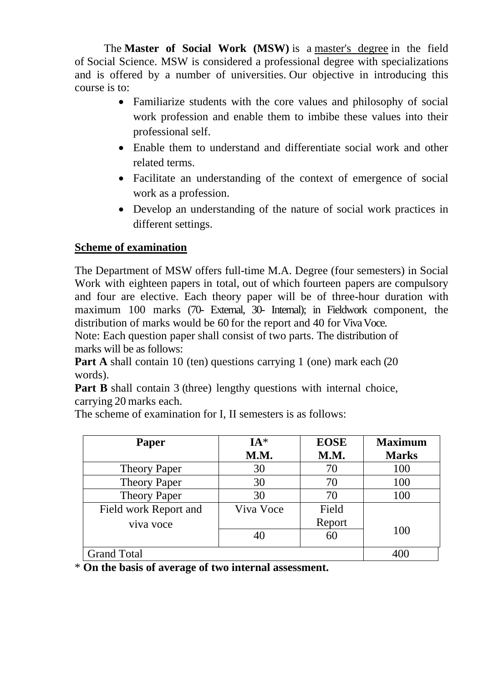The **Master of Social Work (MSW)** is a [master's degree](https://en.wikipedia.org/wiki/Master%27s_degree) in the field of Social Science. MSW is considered a professional degree with specializations and is offered by a number of universities. Our objective in introducing this course is to:

- Familiarize students with the core values and philosophy of social work profession and enable them to imbibe these values into their professional self.
- Enable them to understand and differentiate social work and other related terms.
- Facilitate an understanding of the context of emergence of social work as a profession.
- Develop an understanding of the nature of social work practices in different settings.

## **Scheme of examination**

The Department of MSW offers full-time M.A. Degree (four semesters) in Social Work with eighteen papers in total, out of which fourteen papers are compulsory and four are elective. Each theory paper will be of three-hour duration with maximum 100 marks (70- External, 30- Internal); in Fieldwork component, the distribution of marks would be 60 for the report and 40 for Viva Voce.

Note: Each question paper shall consist of two parts. The distribution of marks will be as follows:

**Part A** shall contain 10 (ten) questions carrying 1 (one) mark each (20) words).

**Part B** shall contain 3 (three) lengthy questions with internal choice, carrying 20 marks each.

The scheme of examination for I, II semesters is as follows:

| Paper                 | $IA*$<br>M.M. | <b>EOSE</b><br>M.M. | <b>Maximum</b><br><b>Marks</b> |
|-----------------------|---------------|---------------------|--------------------------------|
| <b>Theory Paper</b>   | 30            | 70                  | 100                            |
| <b>Theory Paper</b>   | 30            | 70                  | 100                            |
| <b>Theory Paper</b>   | 30            | 70                  | 100                            |
| Field work Report and | Viva Voce     | Field               |                                |
| viva voce             |               | Report              |                                |
|                       | 40            | 60                  | 100                            |
| <b>Grand Total</b>    |               |                     |                                |

\* **On the basis of average of two internal assessment.**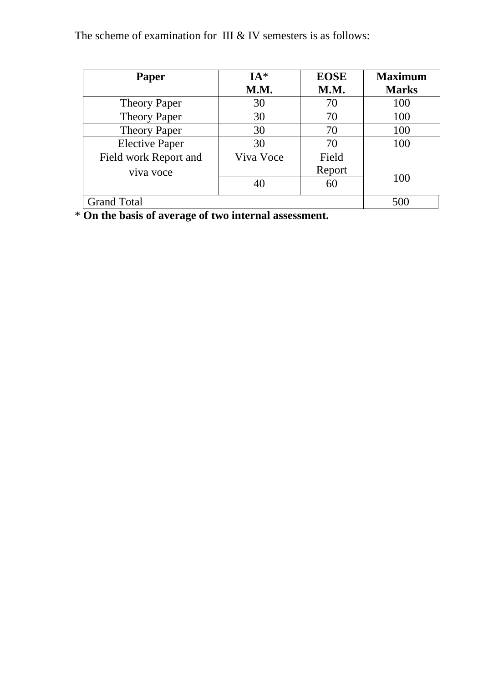The scheme of examination for III  $&$  IV semesters is as follows:

| <b>Paper</b>          | $IA*$     | <b>EOSE</b> | <b>Maximum</b> |
|-----------------------|-----------|-------------|----------------|
|                       | M.M.      | M.M.        | <b>Marks</b>   |
| <b>Theory Paper</b>   | 30        | 70          | 100            |
| <b>Theory Paper</b>   | 30        | 70          | 100            |
| <b>Theory Paper</b>   | 30        | 70          | 100            |
| <b>Elective Paper</b> | 30        | 70          | 100            |
| Field work Report and | Viva Voce | Field       |                |
| viva voce             |           | Report      |                |
|                       |           | 60          | 100            |
| <b>Grand Total</b>    |           |             | 500            |

\* **On the basis of average of two internal assessment.**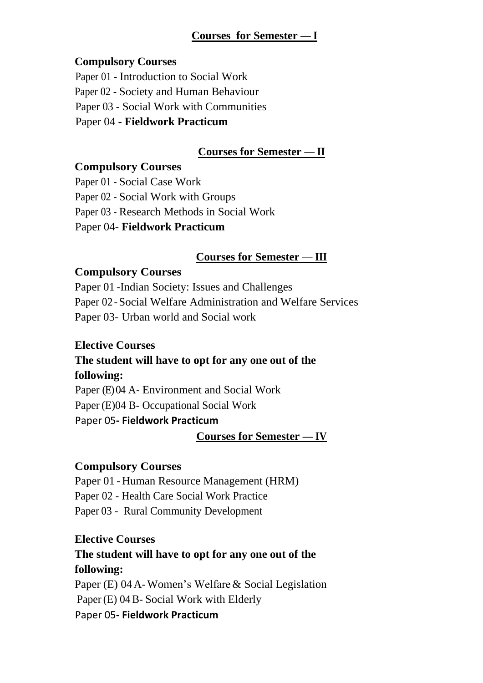#### **Courses for Semester — I**

#### **Compulsory Courses**

Paper 01 - Introduction to Social Work Paper 02 - Society and Human Behaviour Paper 03 - Social Work with Communities Paper 04 **- Fieldwork Practicum**

#### **Courses for Semester — II**

#### **Compulsory Courses**

Paper 01 - Social Case Work

Paper 02 - Social Work with Groups

Paper 03 - Research Methods in Social Work

Paper 04- **Fieldwork Practicum**

#### **Courses for Semester — III**

#### **Compulsory Courses**

Paper 01 -Indian Society: Issues and Challenges Paper 02 -Social Welfare Administration and Welfare Services Paper 03- Urban world and Social work

#### **Elective Courses**

# **The student will have to opt for any one out of the following:**

Paper (E) 04 A- Environment and Social Work Paper (E)04 B- Occupational Social Work Paper 05**- Fieldwork Practicum**

#### **Courses for Semester — IV**

#### **Compulsory Courses**

Paper 01 - Human Resource Management (HRM) Paper 02 - Health Care Social Work Practice Paper 03 - Rural Community Development

#### **Elective Courses**

# **The student will have to opt for any one out of the following:**

Paper (E) 04A-Women's Welfare& Social Legislation Paper (E) 04B- Social Work with Elderly Paper 05**- Fieldwork Practicum**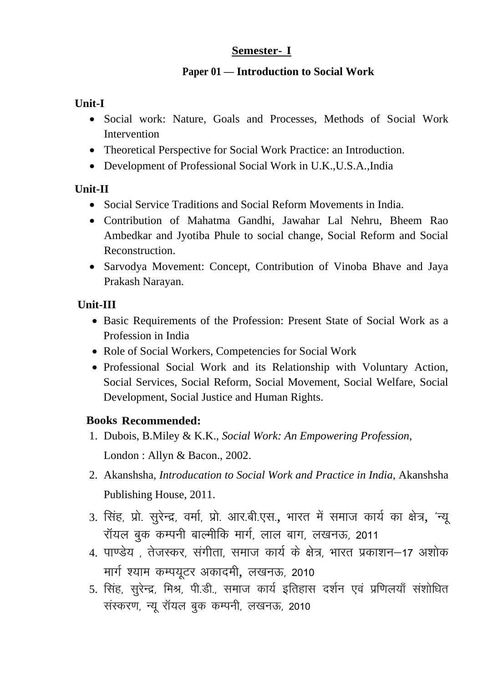#### **Paper 01 — Introduction to Social Work**

#### **Unit-I**

- Social work: Nature, Goals and Processes, Methods of Social Work Intervention
- Theoretical Perspective for Social Work Practice: an Introduction.
- Development of Professional Social Work in U.K.,U.S.A.,India

#### **Unit-II**

- Social Service Traditions and Social Reform Movements in India.
- Contribution of Mahatma Gandhi, Jawahar Lal Nehru, Bheem Rao Ambedkar and Jyotiba Phule to social change, Social Reform and Social Reconstruction.
- Sarvodya Movement: Concept, Contribution of Vinoba Bhave and Jaya Prakash Narayan.

## **Unit-III**

- Basic Requirements of the Profession: Present State of Social Work as a Profession in India
- Role of Social Workers, Competencies for Social Work
- Professional Social Work and its Relationship with Voluntary Action, Social Services, Social Reform, Social Movement, Social Welfare, Social Development, Social Justice and Human Rights.

- 1. Dubois, B.Miley & K.K., *Social Work: An Empowering Profession*, London : Allyn & Bacon., 2002.
- 2. Akanshsha, *Introducation to Social Work and Practice in India*, Akanshsha Publishing House, 2011.
- 3. सिंह, प्रो. सुरेन्द्र, वर्मा, प्रो. आर.बी.एस., भारत में समाज कार्य का क्षेत्र, 'न्यू रॉयल बुक कम्पनी बाल्मीकि मार्ग, लाल बाग, लखनऊ, 2011
- 4. पाण्डेय , तेजस्कर, संगीता, समाज कार्य के क्षेत्र, भारत प्रकाशन–17 अशोक मार्ग श्याम कम्पयूटर अकादमी, लखनऊ, 2010
- 5. सिंह, सूरेन्द्र, मिश्र, पी.डी., समाज कार्य इतिहास दर्शन एवं प्रणिलयाँ संशोधित संस्करण, न्यू रॉयल बुक कम्पनी, लखनऊ, 2010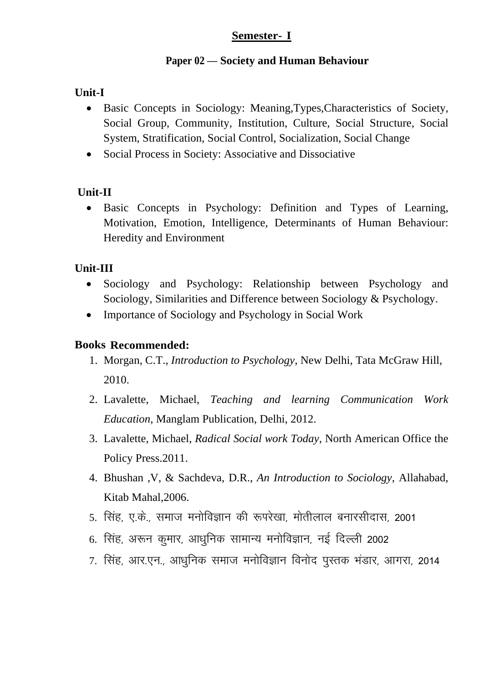#### **Paper 02 — Society and Human Behaviour**

## **Unit-I**

- Basic Concepts in Sociology: Meaning,Types,Characteristics of Society, Social Group, Community, Institution, Culture, Social Structure, Social System, Stratification, Social Control, Socialization, Social Change
- Social Process in Society: Associative and Dissociative

## **Unit-II**

 Basic Concepts in Psychology: Definition and Types of Learning, Motivation, Emotion, Intelligence, Determinants of Human Behaviour: Heredity and Environment

## **Unit-III**

- Sociology and Psychology: Relationship between Psychology and Sociology, Similarities and Difference between Sociology & Psychology.
- Importance of Sociology and Psychology in Social Work

- 1. Morgan, C.T., *Introduction to Psychology*, New Delhi, Tata McGraw Hill, 2010.
- 2. Lavalette, Michael, *Teaching and learning Communication Work Education*, Manglam Publication, Delhi, 2012.
- 3. Lavalette, Michael, *Radical Social work Today*, North American Office the Policy Press.2011.
- 4. Bhushan ,V, & Sachdeva, D.R., *An Introduction to Sociology*, Allahabad, Kitab Mahal,2006.
- 5. सिंह, ए.के., समाज मनोविज्ञान की रूपरेखा, मोतीलाल बनारसीदास, 2001
- 6. सिंह, अरून कुमार, आधुनिक सामान्य मनोविज्ञान, नई दिल्ली 2002
- 7. सिंह, आर.एन., आधनिक समाज मनोविज्ञान विनोद पस्तक भंडार, आगरा, 2014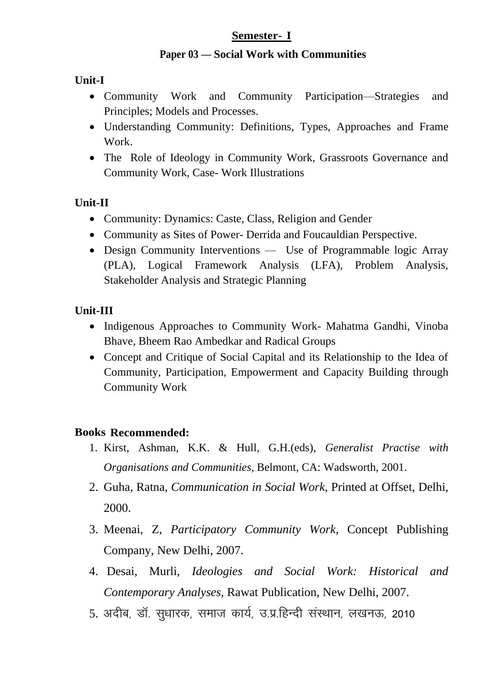#### **Paper 03 — Social Work with Communities**

#### **Unit-I**

- Community Work and Community Participation—Strategies and Principles; Models and Processes.
- Understanding Community: Definitions, Types, Approaches and Frame Work.
- The Role of Ideology in Community Work, Grassroots Governance and Community Work, Case- Work Illustrations

#### **Unit-II**

- Community: Dynamics: Caste, Class, Religion and Gender
- Community as Sites of Power- Derrida and Foucauldian Perspective.
- Design Community Interventions Use of Programmable logic Array (PLA), Logical Framework Analysis (LFA), Problem Analysis, Stakeholder Analysis and Strategic Planning

## **Unit-III**

- Indigenous Approaches to Community Work- Mahatma Gandhi, Vinoba Bhave, Bheem Rao Ambedkar and Radical Groups
- Concept and Critique of Social Capital and its Relationship to the Idea of Community, Participation, Empowerment and Capacity Building through Community Work

- 1. Kirst, Ashman, K.K. & Hull, G.H.(eds), *Generalist Practise with Organisations and Communities*, Belmont, CA: Wadsworth, 2001.
- 2. Guha, Ratna, *Communication in Social Work*, Printed at Offset, Delhi, 2000.
- 3. Meenai, Z, *Participatory Community Work*, Concept Publishing Company, New Delhi, 2007.
- 4. Desai, Murli, *Ideologies and Social Work: Historical and Contemporary Analyses*, Rawat Publication, New Delhi, 2007.
- 5. अदीब, डॉ. सुधारक, समाज कार्य, उ.प्र.हिन्दी संस्थान, लखनऊ, 2010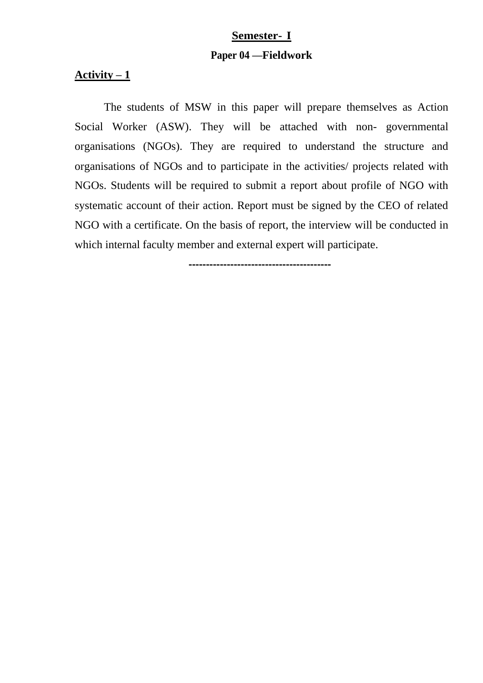# **Semester- I Paper 04 —Fieldwork**

#### Activity  $-1$

The students of MSW in this paper will prepare themselves as Action Social Worker (ASW). They will be attached with non- governmental organisations (NGOs). They are required to understand the structure and organisations of NGOs and to participate in the activities/ projects related with NGOs. Students will be required to submit a report about profile of NGO with systematic account of their action. Report must be signed by the CEO of related NGO with a certificate. On the basis of report, the interview will be conducted in which internal faculty member and external expert will participate.

**-----------------------------------------**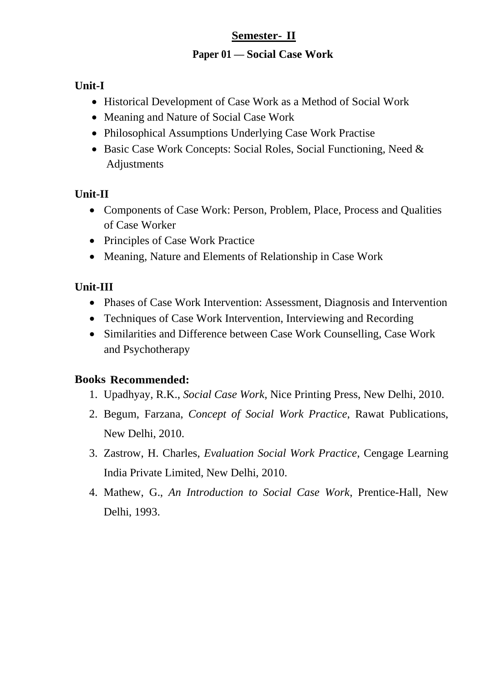#### **Paper 01 — Social Case Work**

## **Unit-I**

- Historical Development of Case Work as a Method of Social Work
- Meaning and Nature of Social Case Work
- Philosophical Assumptions Underlying Case Work Practise
- Basic Case Work Concepts: Social Roles, Social Functioning, Need & Adjustments

# **Unit-II**

- Components of Case Work: Person, Problem, Place, Process and Qualities of Case Worker
- Principles of Case Work Practice
- Meaning, Nature and Elements of Relationship in Case Work

# **Unit-III**

- Phases of Case Work Intervention: Assessment, Diagnosis and Intervention
- Techniques of Case Work Intervention, Interviewing and Recording
- Similarities and Difference between Case Work Counselling, Case Work and Psychotherapy

- 1. Upadhyay, R.K., *Social Case Work*, Nice Printing Press, New Delhi, 2010.
- 2. Begum, Farzana, *Concept of Social Work Practice*, Rawat Publications, New Delhi, 2010.
- 3. Zastrow, H. Charles, *Evaluation Social Work Practice*, Cengage Learning India Private Limited, New Delhi, 2010.
- 4. Mathew, G., *An Introduction to Social Case Work*, Prentice-Hall, New Delhi, 1993.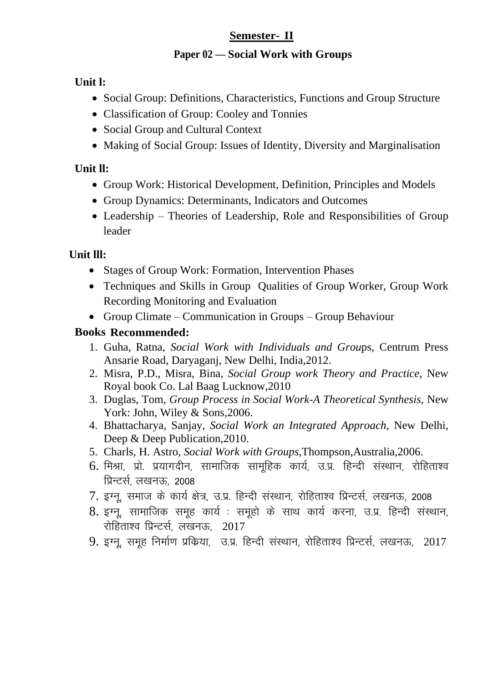#### **Paper 02 — Social Work with Groups**

## **Unit l:**

- Social Group: Definitions, Characteristics, Functions and Group Structure
- Classification of Group: Cooley and Tonnies
- Social Group and Cultural Context
- Making of Social Group: Issues of Identity, Diversity and Marginalisation

# **Unit ll:**

- Group Work: Historical Development, Definition, Principles and Models
- Group Dynamics: Determinants, Indicators and Outcomes
- Leadership Theories of Leadership, Role and Responsibilities of Group leader

# **Unit lll:**

- Stages of Group Work: Formation, Intervention Phases
- Techniques and Skills in Group Qualities of Group Worker, Group Work Recording Monitoring and Evaluation
- Group Climate Communication in Groups Group Behaviour

- 1. Guha, Ratna, *Social Work with Individuals and Grou*ps, Centrum Press Ansarie Road, Daryaganj, New Delhi, India,2012.
- 2. Misra, P.D., Misra, Bina, *Social Group work Theory and Practice*, New Royal book Co. Lal Baag Lucknow,2010
- 3. Duglas, Tom, *Group Process in Social Work-A Theoretical Synthesis*, New York: John, Wiley & Sons, 2006.
- 4. Bhattacharya, Sanjay, *Social Work an Integrated Approach*, New Delhi, Deep & Deep Publication, 2010.
- 5. Charls, H. Astro, *Social Work with Groups*,Thompson,Australia,2006.
- $6.$  मिश्रा, प्रो. प्रयागदीन, सामाजिक सामहिक कार्य, उ.प्र. हिन्दी संस्थान, रोहिताश्व प्रिन्टर्स, लखनऊ, 2008
- $7.$  इग्न, समाज के कार्य क्षेत्र, उ.प्र, हिन्दी संस्थान, रोहिताश्व प्रिन्टर्स, लखनऊ, 2008
- 8. इग्नू, सामाजिक समूह कार्य : समूहो के साथ कार्य करना, उ.प्र. हिन्दी संस्थान, रोहिताश्व प्रिन्टर्स, लखनऊ, 2017
- $9.$  इग्नू, समूह निर्माण प्रकिया, उ.प्र. हिन्दी संस्थान, रोहिताश्व प्रिन्टर्स, लखनऊ,  $2017$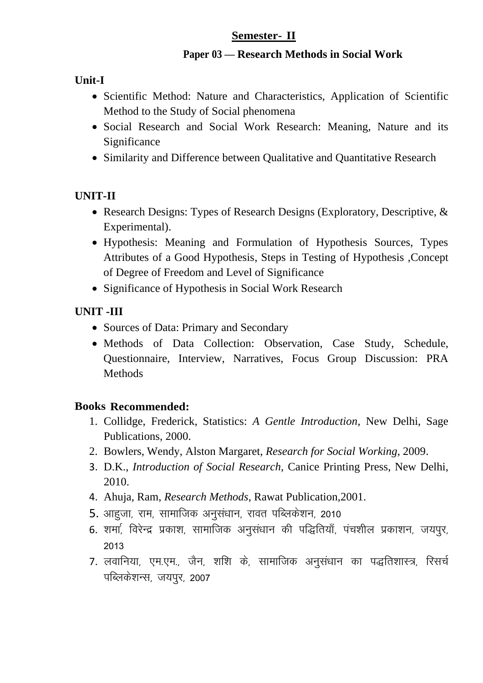#### **Paper 03 — Research Methods in Social Work**

# **Unit-I**

- Scientific Method: Nature and Characteristics, Application of Scientific Method to the Study of Social phenomena
- Social Research and Social Work Research: Meaning, Nature and its Significance
- Similarity and Difference between Qualitative and Quantitative Research

## **UNIT-II**

- Research Designs: Types of Research Designs (Exploratory, Descriptive, & Experimental).
- Hypothesis: Meaning and Formulation of Hypothesis Sources, Types Attributes of a Good Hypothesis, Steps in Testing of Hypothesis ,Concept of Degree of Freedom and Level of Significance
- Significance of Hypothesis in Social Work Research

## **UNIT -III**

- Sources of Data: Primary and Secondary
- Methods of Data Collection: Observation, Case Study, Schedule, Questionnaire, Interview, Narratives, Focus Group Discussion: PRA **Methods**

- 1. Collidge, Frederick, Statistics: *A Gentle Introduction*, New Delhi, Sage Publications, 2000.
- 2. Bowlers, Wendy, Alston Margaret, *Research for Social Working*, 2009.
- 3. D.K., *Introduction of Social Research*, Canice Printing Press, New Delhi, 2010.
- 4. Ahuja, Ram, *Research Methods*, Rawat Publication,2001.
- 5. आहजा, राम, सामाजिक अनुसंधान, रावत पब्लिकेशन, 2010
- 6. शर्मा, विरेन्द्र प्रकाश, सामाजिक अनसंधान की पद्धितियाँ, पंचशील प्रकाशन, जयपर, 2013
- 7. लवानिया, एम.एम., जैन, शशि के, सामाजिक अनुसंधान का पद्धतिशास्त्र, रिसर्च पब्लिकेशन्स, जयपुर, 2007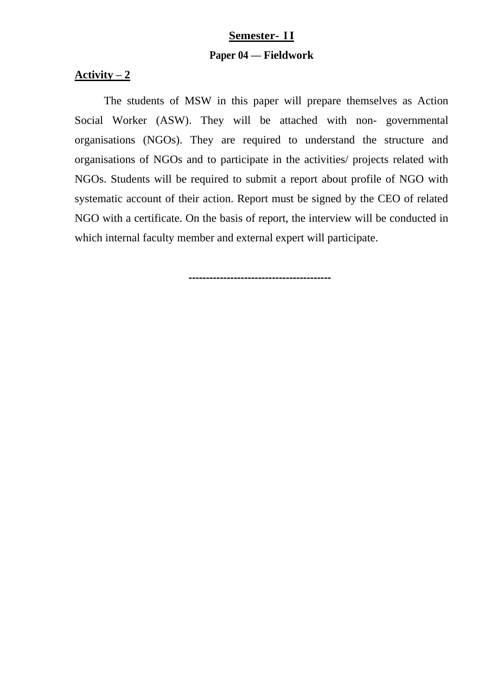# **Semester- II Paper 04 — Fieldwork**

#### Activity  $-2$

The students of MSW in this paper will prepare themselves as Action Social Worker (ASW). They will be attached with non- governmental organisations (NGOs). They are required to understand the structure and organisations of NGOs and to participate in the activities/ projects related with NGOs. Students will be required to submit a report about profile of NGO with systematic account of their action. Report must be signed by the CEO of related NGO with a certificate. On the basis of report, the interview will be conducted in which internal faculty member and external expert will participate.

**-----------------------------------------**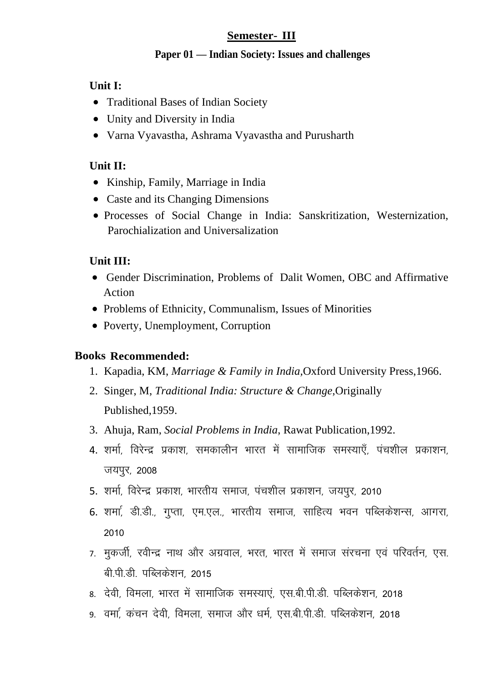#### **Paper 01 — Indian Society: Issues and challenges**

#### **Unit I:**

- Traditional Bases of Indian Society
- Unity and Diversity in India
- Varna Vyavastha, Ashrama Vyavastha and Purusharth

# **Unit II:**

- Kinship, Family, Marriage in India
- Caste and its Changing Dimensions
- Processes of Social Change in India: Sanskritization, Westernization, Parochialization and Universalization

# **Unit III:**

- Gender Discrimination, Problems of Dalit Women, OBC and Affirmative Action
- Problems of Ethnicity, Communalism, Issues of Minorities
- Poverty, Unemployment, Corruption

- 1. Kapadia, KM, *Marriage & Family in India,*Oxford University Press,1966.
- 2. Singer, M, *Traditional India: Structure & Change*,Originally Published,1959.
- 3. Ahuja, Ram, *Social Problems in India*, Rawat Publication,1992.
- 4. शर्मा, विरेन्द्र प्रकाश, समकालीन भारत में सामाजिक समस्याएँ, पंचशील प्रकाशन, जयपुर, 2008
- 5. शर्मा, विरेन्द्र प्रकाश, भारतीय समाज, पंचशील प्रकाशन, जयपुर, 2010
- 6. शर्मा, डी.डी., गुप्ता, एम.एल., भारतीय समाज, साहित्य भवन पब्लिकेशन्स, आगरा, 2010
- 7. मुकर्जी, रवीन्द्र नाथ और अग्रवाल, भरत, भारत में समाज संरचना एवं परिवर्तन, एस. बी पी डीजपब्लिकेशन 2015
- 8. देवी, विमला, भारत में सामाजिक समस्याएं, एस.बी.पी.डी. पब्लिकेशन, 2018
- 9. वर्मा, कंचन देवी, विमला, समाज और धर्म, एस.बी.पी.डी. पब्लिकेशन, 2018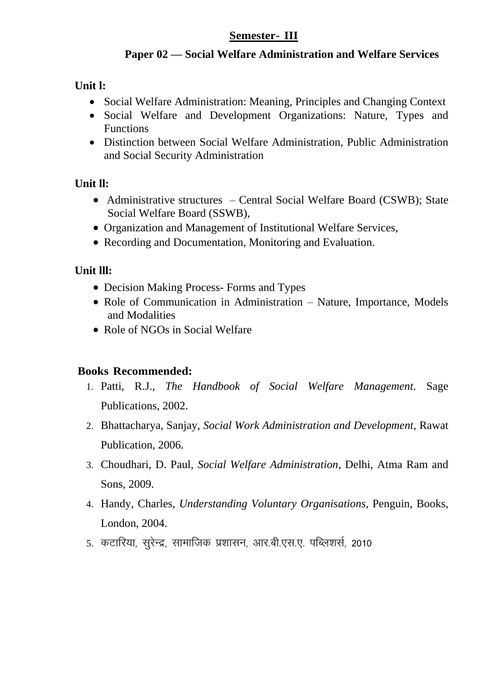#### **Paper 02 — Social Welfare Administration and Welfare Services**

# **Unit l:**

- Social Welfare Administration: Meaning, Principles and Changing Context
- Social Welfare and Development Organizations: Nature, Types and Functions
- Distinction between Social Welfare Administration, Public Administration and Social Security Administration

# **Unit ll:**

- Administrative structures Central Social Welfare Board (CSWB); State Social Welfare Board (SSWB),
- Organization and Management of Institutional Welfare Services,
- Recording and Documentation, Monitoring and Evaluation.

# **Unit lll:**

- Decision Making Process- Forms and Types
- Role of Communication in Administration Nature, Importance, Models and Modalities
- Role of NGOs in Social Welfare

- 1. Patti, R.J., *The Handbook of Social Welfare Management*. Sage Publications, 2002.
- 2. Bhattacharya, Sanjay, *Social Work Administration and Development*, Rawat Publication, 2006.
- 3. Choudhari, D. Paul, *Social Welfare Administration*, Delhi, Atma Ram and Sons, 2009.
- 4. Handy, Charles, *Understanding Voluntary Organisations*, Penguin, Books, London, 2004.
- 5. कटारिया, सूरेन्द्र, सामाजिक प्रशासन, आर.बी.एस.ए. पब्लिशर्स, 2010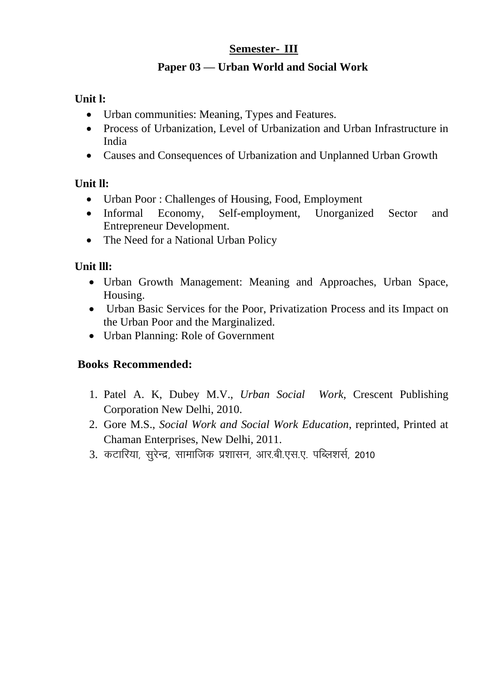# **Paper 03 — Urban World and Social Work**

# **Unit l:**

- Urban communities: Meaning, Types and Features.
- Process of Urbanization, Level of Urbanization and Urban Infrastructure in India
- Causes and Consequences of Urbanization and Unplanned Urban Growth

# **Unit ll:**

- Urban Poor : Challenges of Housing, Food, Employment
- Informal Economy, Self-employment, Unorganized Sector and Entrepreneur Development.
- The Need for a National Urban Policy

# **Unit lll:**

- Urban Growth Management: Meaning and Approaches, Urban Space, Housing.
- Urban Basic Services for the Poor, Privatization Process and its Impact on the Urban Poor and the Marginalized.
- Urban Planning: Role of Government

- 1. Patel A. K, Dubey M.V., *Urban Social Work*, Crescent Publishing Corporation New Delhi, 2010.
- 2. Gore M.S., *Social Work and Social Work Education*, reprinted, Printed at Chaman Enterprises, New Delhi, 2011.
- 3. कटारिया, सूरेन्द्र, सामाजिक प्रशासन, आर.बी.एस.ए. पब्लिशर्स, 2010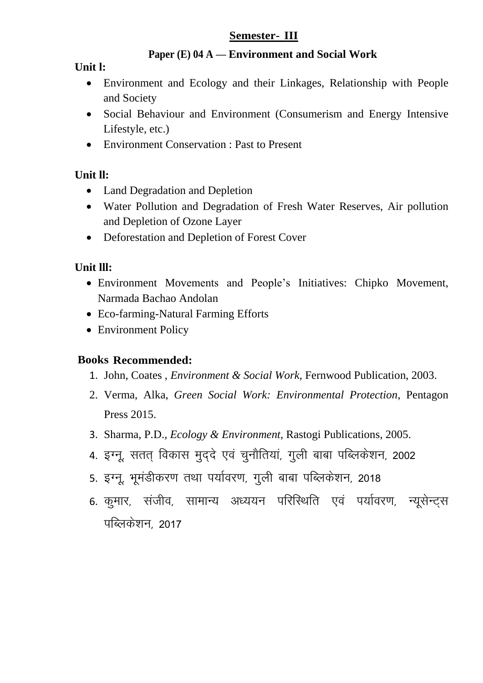#### **Paper (E) 04 A — Environment and Social Work**

#### **Unit l:**

- Environment and Ecology and their Linkages, Relationship with People and Society
- Social Behaviour and Environment (Consumerism and Energy Intensive Lifestyle, etc.)
- Environment Conservation : Past to Present

# **Unit ll:**

- Land Degradation and Depletion
- Water Pollution and Degradation of Fresh Water Reserves, Air pollution and Depletion of Ozone Layer
- Deforestation and Depletion of Forest Cover

## **Unit lll:**

- Environment Movements and People's Initiatives: Chipko Movement, Narmada Bachao Andolan
- Eco-farming-Natural Farming Efforts
- Environment Policy

- 1. John, Coates , *Environment & Social Work*, Fernwood Publication, 2003.
- 2. Verma, Alka, *Green Social Work: Environmental Protection*, Pentagon Press 2015.
- 3. Sharma, P.D., *Ecology & Environment*, Rastogi Publications, 2005.
- 4. इग्नू, सतत् विकास मुद्दे एवं चुनौतियां, गुली बाबा पब्लिकेशन, 2002
- 5. इग्नू, भूमंडीकरण तथा पर्यावरण, गुली बाबा पब्लिकेशन, 2018
- 6. कुमार, संजीव, सामान्य अध्ययन परिस्थिति एवं पर्यावरण, न्यूसेन्टस पब्लिकेशन, 2017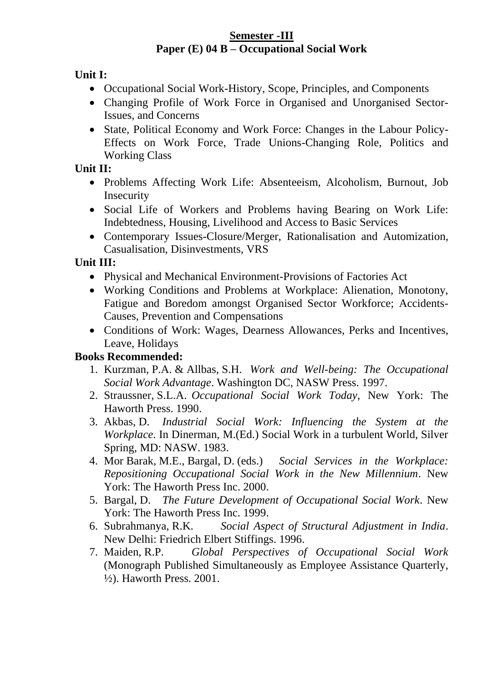#### **Semester -III Paper (E) 04 B – Occupational Social Work**

**Unit I:** 

- Occupational Social Work-History, Scope, Principles, and Components
- Changing Profile of Work Force in Organised and Unorganised Sector-Issues, and Concerns
- State, Political Economy and Work Force: Changes in the Labour Policy-Effects on Work Force, Trade Unions-Changing Role, Politics and Working Class

# **Unit II:**

- Problems Affecting Work Life: Absenteeism, Alcoholism, Burnout, Job Insecurity
- Social Life of Workers and Problems having Bearing on Work Life: Indebtedness, Housing, Livelihood and Access to Basic Services
- Contemporary Issues-Closure/Merger, Rationalisation and Automization, Casualisation, Disinvestments, VRS

# **Unit III:**

- Physical and Mechanical Environment-Provisions of Factories Act
- Working Conditions and Problems at Workplace: Alienation, Monotony, Fatigue and Boredom amongst Organised Sector Workforce; Accidents-Causes, Prevention and Compensations
- Conditions of Work: Wages, Dearness Allowances, Perks and Incentives, Leave, Holidays

- 1. Kurzman, P.A. & Allbas, S.H. *Work and Well-being: The Occupational Social Work Advantage*. Washington DC, NASW Press. 1997.
- 2. Straussner, S.L.A. *Occupational Social Work Today*, New York: The Haworth Press. 1990.
- 3. Akbas, D. *Industrial Social Work: Influencing the System at the Workplace*. In Dinerman, M.(Ed.) Social Work in a turbulent World, Silver Spring, MD: NASW. 1983.
- 4. Mor Barak, M.E., Bargal, D. (eds.) *Social Services in the Workplace: Repositioning Occupational Social Work in the New Millennium*. New York: The Haworth Press Inc. 2000.
- 5. Bargal, D. *The Future Development of Occupational Social Work*. New York: The Haworth Press Inc. 1999.
- 6. Subrahmanya, R.K. *Social Aspect of Structural Adjustment in India*. New Delhi: Friedrich Elbert Stiffings. 1996.
- 7. Maiden, R.P. *Global Perspectives of Occupational Social Work* (Monograph Published Simultaneously as Employee Assistance Quarterly, ½). Haworth Press. 2001.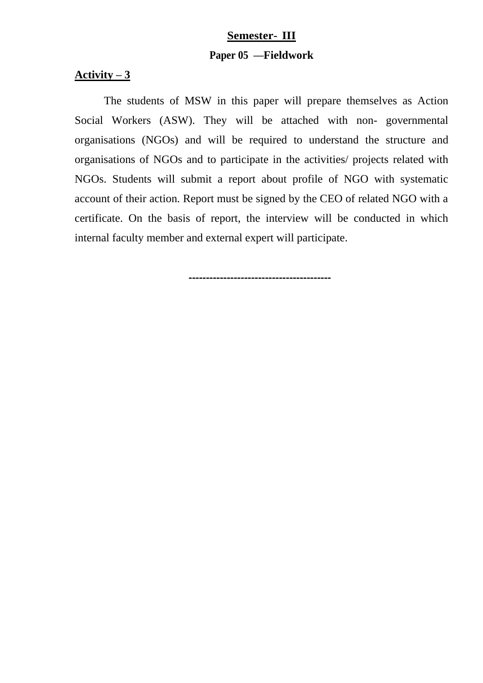# **Semester- III Paper 05 —Fieldwork**

#### Activity  $-3$

The students of MSW in this paper will prepare themselves as Action Social Workers (ASW). They will be attached with non- governmental organisations (NGOs) and will be required to understand the structure and organisations of NGOs and to participate in the activities/ projects related with NGOs. Students will submit a report about profile of NGO with systematic account of their action. Report must be signed by the CEO of related NGO with a certificate. On the basis of report, the interview will be conducted in which internal faculty member and external expert will participate.

**-----------------------------------------**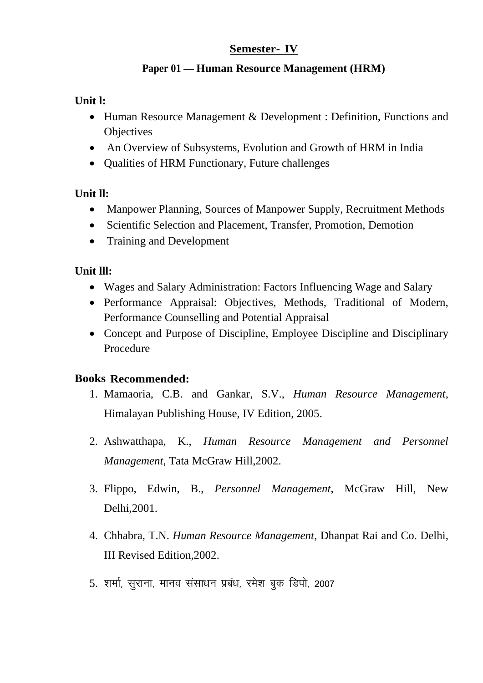## **Semester- IV**

# **Paper 01 — Human Resource Management (HRM)**

# **Unit l:**

- Human Resource Management & Development : Definition, Functions and **Objectives**
- An Overview of Subsystems, Evolution and Growth of HRM in India
- Qualities of HRM Functionary, Future challenges

# **Unit ll:**

- Manpower Planning, Sources of Manpower Supply, Recruitment Methods
- Scientific Selection and Placement, Transfer, Promotion, Demotion
- Training and Development

# **Unit lll:**

- Wages and Salary Administration: Factors Influencing Wage and Salary
- Performance Appraisal: Objectives, Methods, Traditional of Modern, Performance Counselling and Potential Appraisal
- Concept and Purpose of Discipline, Employee Discipline and Disciplinary Procedure

- 1. Mamaoria, C.B. and Gankar, S.V., *Human Resource Management*, Himalayan Publishing House, IV Edition, 2005.
- 2. Ashwatthapa, K., *Human Resource Management and Personnel Management*, Tata McGraw Hill,2002.
- 3. Flippo, Edwin, B., *Personnel Management*, McGraw Hill, New Delhi,2001.
- 4. Chhabra, T.N. *Human Resource Management*, Dhanpat Rai and Co. Delhi, III Revised Edition,2002.
- 5. शर्मा, सुराना, मानव संसाधन प्रबंध, रमेश बुक डिपो, 2007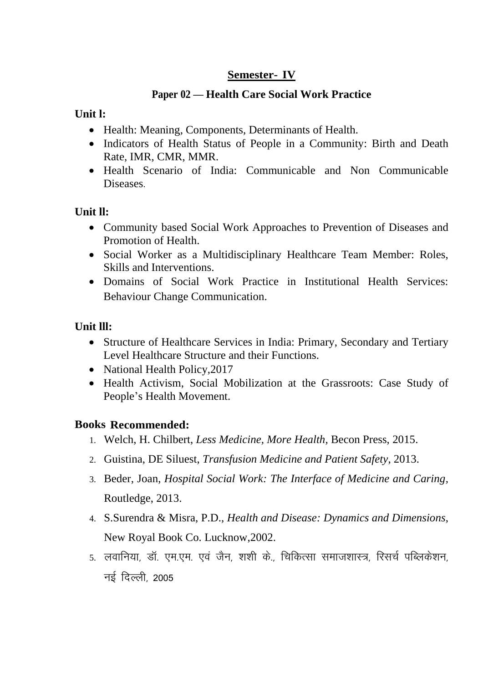# **Semester- IV**

## **Paper 02 — Health Care Social Work Practice**

#### **Unit l:**

- Health: Meaning, Components, Determinants of Health.
- Indicators of Health Status of People in a Community: Birth and Death Rate, IMR, CMR, MMR.
- Health Scenario of India: Communicable and Non Communicable Diseases.

## **Unit ll:**

- Community based Social Work Approaches to Prevention of Diseases and Promotion of Health.
- Social Worker as a Multidisciplinary Healthcare Team Member: Roles, Skills and Interventions.
- Domains of Social Work Practice in Institutional Health Services: Behaviour Change Communication.

# **Unit lll:**

- Structure of Healthcare Services in India: Primary, Secondary and Tertiary Level Healthcare Structure and their Functions.
- National Health Policy, 2017
- Health Activism, Social Mobilization at the Grassroots: Case Study of People's Health Movement.

- 1. Welch, H. Chilbert, *Less Medicine, More Health,* Becon Press, 2015.
- 2. Guistina, DE Siluest, *Transfusion Medicine and Patient Safety*, 2013.
- 3. Beder, Joan, *Hospital Social Work: The Interface of Medicine and Caring,* Routledge, 2013.
- 4. S.Surendra & Misra, P.D., *Health and Disease: Dynamics and Dimensions*, New Royal Book Co. Lucknow,2002.
- 5. लवानिया, डॉ. एम.एम. एवं जैन, शशी के., चिकित्सा समाजशास्त्र, रिसर्च पब्लिकेशन, नई दिल्ली, 2005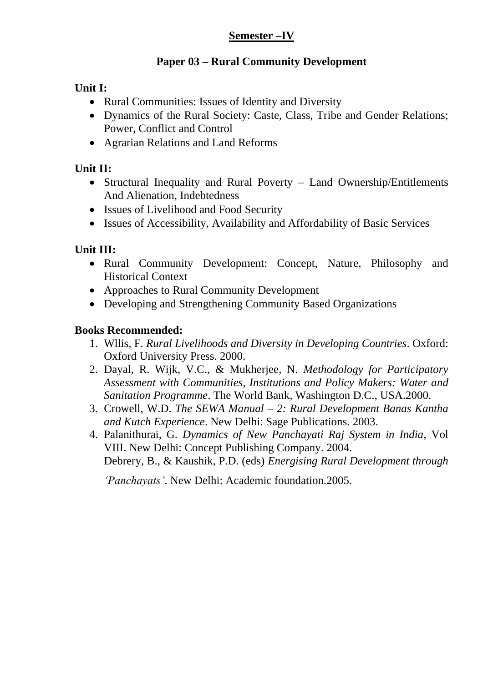# **Semester –IV**

#### **Paper 03 – Rural Community Development**

#### **Unit I:**

- Rural Communities: Issues of Identity and Diversity
- Dynamics of the Rural Society: Caste, Class, Tribe and Gender Relations; Power, Conflict and Control
- Agrarian Relations and Land Reforms

# **Unit II:**

- Structural Inequality and Rural Poverty Land Ownership/Entitlements And Alienation, Indebtedness
- Issues of Livelihood and Food Security
- Issues of Accessibility, Availability and Affordability of Basic Services

# **Unit III:**

- Rural Community Development: Concept, Nature, Philosophy and Historical Context
- Approaches to Rural Community Development
- Developing and Strengthening Community Based Organizations

#### **Books Recommended:**

- 1. Wllis, F. *Rural Livelihoods and Diversity in Developing Countries*. Oxford: Oxford University Press. 2000.
- 2. Dayal, R. Wijk, V.C., & Mukherjee, N. *Methodology for Participatory Assessment with Communities, Institutions and Policy Makers: Water and Sanitation Programme*. The World Bank, Washington D.C., USA.2000.
- 3. Crowell, W.D. *The SEWA Manual – 2: Rural Development Banas Kantha and Kutch Experience*. New Delhi: Sage Publications. 2003.
- 4. Palanithurai, G. *Dynamics of New Panchayati Raj System in India*, Vol VIII. New Delhi: Concept Publishing Company. 2004. Debrery, B., & Kaushik, P.D. (eds) *Energising Rural Development through*

*'Panchayats'*. New Delhi: Academic foundation.2005.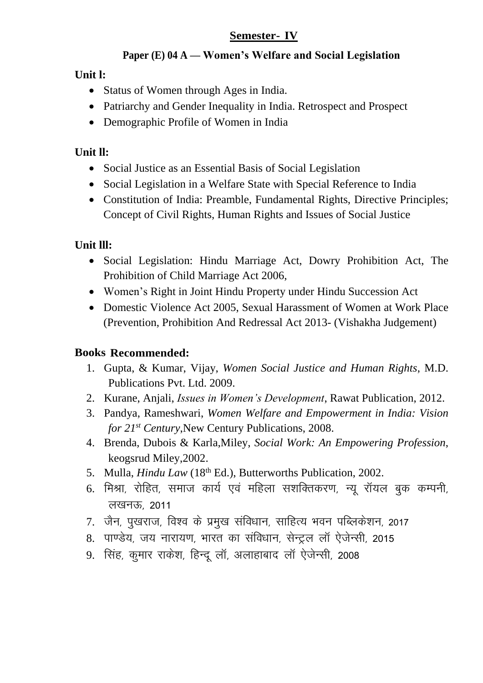# **Semester- IV**

# **Paper (E) 04 A — Women's Welfare and Social Legislation**

**Unit l:**

- Status of Women through Ages in India.
- Patriarchy and Gender Inequality in India. Retrospect and Prospect
- Demographic Profile of Women in India

# **Unit ll:**

- Social Justice as an Essential Basis of Social Legislation
- Social Legislation in a Welfare State with Special Reference to India
- Constitution of India: Preamble, Fundamental Rights, Directive Principles; Concept of Civil Rights, Human Rights and Issues of Social Justice

# **Unit lll:**

- Social Legislation: Hindu Marriage Act, Dowry Prohibition Act, The Prohibition of Child Marriage Act 2006,
- Women's Right in Joint Hindu Property under Hindu Succession Act
- Domestic Violence Act 2005, Sexual Harassment of Women at Work Place (Prevention, Prohibition And Redressal Act 2013- (Vishakha Judgement)

- 1. Gupta, & Kumar, Vijay, *Women Social Justice and Human Rights*, M.D. Publications Pvt. Ltd. 2009.
- 2. Kurane, Anjali, *Issues in Women's Development*, Rawat Publication, 2012.
- 3. Pandya, Rameshwari, *Women Welfare and Empowerment in India: Vision for 21 st Century*,New Century Publications, 2008.
- 4. Brenda, Dubois & Karla,Miley, *Social Work: An Empowering Profession*, keogsrud Miley,2002.
- 5. Mulla, *Hindu Law* (18<sup>th</sup> Ed.), Butterworths Publication, 2002.
- 6. मिश्रा, रोहित, समाज कार्य एवं महिला सशक्तिकरण, न्यू रॉयल बुक कम्पनी, लखनऊ, 2011
- 7. जैन, पुखराज, विश्व के प्रमुख संविधान, साहित्य भवन पब्लिकेशन, 2017
- 8. पाण्डेय, जय नारायण, भारत का संविधान, सेन्टल लॉ ऐजेन्सी, 2015
- 9. सिंह, कुमार राकेश, हिन्दू लॉ, अलाहाबाद लॉ ऐजेन्सी, 2008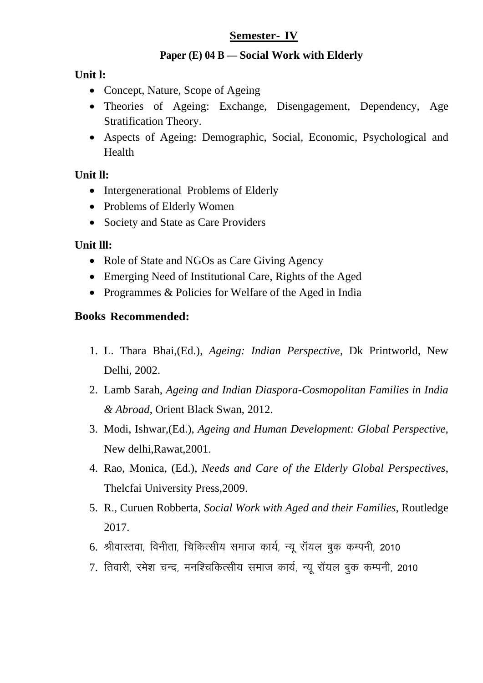#### **Semester- IV**

#### **Paper (E) 04 B — Social Work with Elderly**

**Unit l:**

- Concept, Nature, Scope of Ageing
- Theories of Ageing: Exchange, Disengagement, Dependency, Age Stratification Theory.
- Aspects of Ageing: Demographic, Social, Economic, Psychological and Health

## **Unit ll:**

- Intergenerational Problems of Elderly
- Problems of Elderly Women
- Society and State as Care Providers

## **Unit lll:**

- Role of State and NGOs as Care Giving Agency
- Emerging Need of Institutional Care, Rights of the Aged
- Programmes & Policies for Welfare of the Aged in India

- 1. L. Thara Bhai,(Ed.), *Ageing: Indian Perspective*, Dk Printworld, New Delhi, 2002.
- 2. Lamb Sarah, *Ageing and Indian Diaspora-Cosmopolitan Families in India & Abroad*, Orient Black Swan, 2012.
- 3. Modi, Ishwar,(Ed.), *Ageing and Human Development: Global Perspective,* New delhi,Rawat,2001.
- 4. Rao, Monica, (Ed.), *Needs and Care of the Elderly Global Perspectives*, Thelcfai University Press,2009.
- 5. R., Curuen Robberta, *Social Work with Aged and their Families*, Routledge 2017.
- 6. श्रीवास्तवा, विनीता, चिकित्सीय समाज कार्य, न्य रॉयल बक कम्पनी, 2010
- 7. तिवारी, रमेश चन्द, मनश्चिकित्सीय समाज कार्य, न्य रॉयल बक कम्पनी, 2010